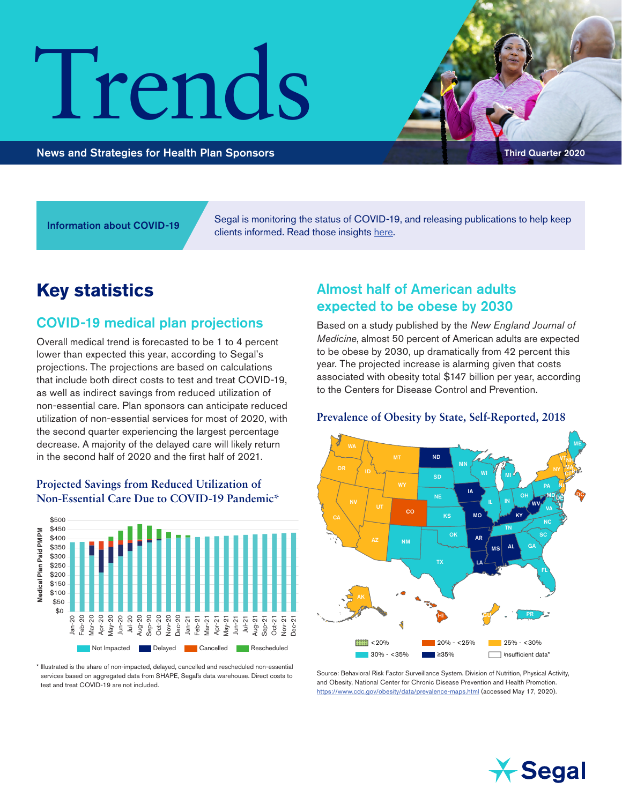# Trends

News and Strategies for Health Plan Sponsors Third Quarter 2020

Segal is monitoring the status of COVID-19, and releasing publications to help keep Information about COVID-19<br>clients informed. Read those insights [here.](https://www.segalco.com/consulting-insights/covid19)

# **Key statistics**

# COVID-19 medical plan projections

Overall medical trend is forecasted to be 1 to 4 percent lower than expected this year, according to Segal's projections. The projections are based on calculations that include both direct costs to test and treat COVID-19, as well as indirect savings from reduced utilization of non-essential care. Plan sponsors can anticipate reduced utilization of non-essential services for most of 2020, with the second quarter experiencing the largest percentage decrease. A majority of the delayed care will likely return in the second half of 2020 and the first half of 2021.

#### **Projected Savings from Reduced Utilization of Non-Essential Care Due to COVID-19 Pandemic\***



\* Illustrated is the share of non-impacted, delayed, cancelled and rescheduled non-essential services based on aggregated data from SHAPE, Segal's data warehouse. Direct costs to

# Almost half of American adults expected to be obese by 2030

Based on a study published by the *New England Journal of Medicine*, almost 50 percent of American adults are expected to be obese by 2030, up dramatically from 42 percent this year. The projected increase is alarming given that costs associated with obesity total \$147 billion per year, according to the Centers for Disease Control and Prevention.

#### **Prevalence of Obesity by State, Self-Reported, 2018**



Source: Behavioral Risk Factor Surveillance System. Division of Nutrition, Physical Activity, and Obesity, National Center for Chronic Disease Prevention and Health Promotion. <https://www.cdc.gov/obesity/data/prevalence-maps.html>(accessed May 17, 2020).